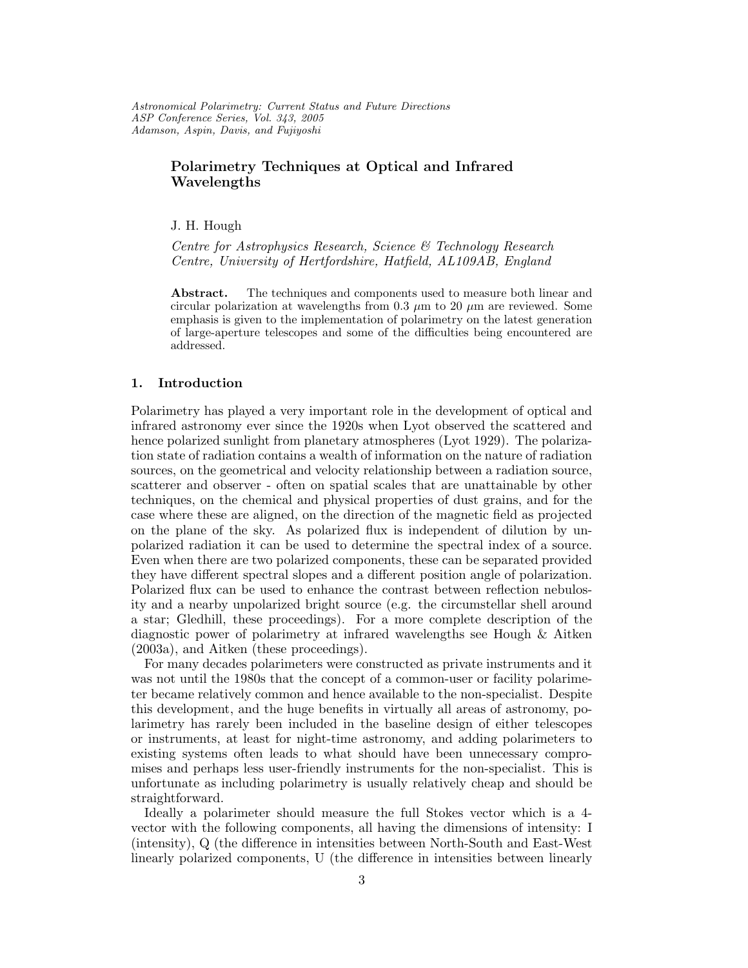Astronomical Polarimetry: Current Status and Future Directions ASP Conference Series, Vol. 343, 2005 Adamson, Aspin, Davis, and Fujiyoshi

# Polarimetry Techniques at Optical and Infrared Wavelengths

J. H. Hough

Centre for Astrophysics Research, Science & Technology Research Centre, University of Hertfordshire, Hatfield, AL109AB, England

Abstract. The techniques and components used to measure both linear and circular polarization at wavelengths from 0.3  $\mu$ m to 20  $\mu$ m are reviewed. Some emphasis is given to the implementation of polarimetry on the latest generation of large-aperture telescopes and some of the difficulties being encountered are addressed.

### 1. Introduction

Polarimetry has played a very important role in the development of optical and infrared astronomy ever since the 1920s when Lyot observed the scattered and hence polarized sunlight from planetary atmospheres (Lyot 1929). The polarization state of radiation contains a wealth of information on the nature of radiation sources, on the geometrical and velocity relationship between a radiation source, scatterer and observer - often on spatial scales that are unattainable by other techniques, on the chemical and physical properties of dust grains, and for the case where these are aligned, on the direction of the magnetic field as projected on the plane of the sky. As polarized flux is independent of dilution by unpolarized radiation it can be used to determine the spectral index of a source. Even when there are two polarized components, these can be separated provided they have different spectral slopes and a different position angle of polarization. Polarized flux can be used to enhance the contrast between reflection nebulosity and a nearby unpolarized bright source (e.g. the circumstellar shell around a star; Gledhill, these proceedings). For a more complete description of the diagnostic power of polarimetry at infrared wavelengths see Hough & Aitken (2003a), and Aitken (these proceedings).

For many decades polarimeters were constructed as private instruments and it was not until the 1980s that the concept of a common-user or facility polarimeter became relatively common and hence available to the non-specialist. Despite this development, and the huge benefits in virtually all areas of astronomy, polarimetry has rarely been included in the baseline design of either telescopes or instruments, at least for night-time astronomy, and adding polarimeters to existing systems often leads to what should have been unnecessary compromises and perhaps less user-friendly instruments for the non-specialist. This is unfortunate as including polarimetry is usually relatively cheap and should be straightforward.

Ideally a polarimeter should measure the full Stokes vector which is a 4 vector with the following components, all having the dimensions of intensity: I (intensity), Q (the difference in intensities between North-South and East-West linearly polarized components, U (the difference in intensities between linearly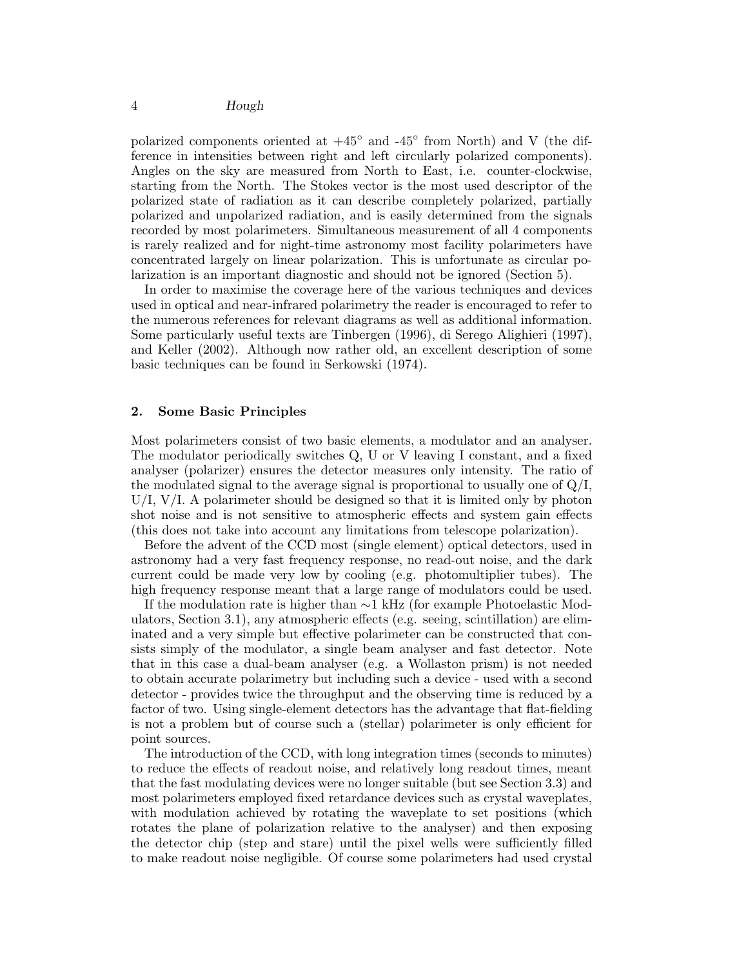polarized components oriented at  $+45^{\circ}$  and  $-45^{\circ}$  from North) and V (the difference in intensities between right and left circularly polarized components). Angles on the sky are measured from North to East, i.e. counter-clockwise, starting from the North. The Stokes vector is the most used descriptor of the polarized state of radiation as it can describe completely polarized, partially polarized and unpolarized radiation, and is easily determined from the signals recorded by most polarimeters. Simultaneous measurement of all 4 components is rarely realized and for night-time astronomy most facility polarimeters have concentrated largely on linear polarization. This is unfortunate as circular polarization is an important diagnostic and should not be ignored (Section 5).

In order to maximise the coverage here of the various techniques and devices used in optical and near-infrared polarimetry the reader is encouraged to refer to the numerous references for relevant diagrams as well as additional information. Some particularly useful texts are Tinbergen (1996), di Serego Alighieri (1997), and Keller (2002). Although now rather old, an excellent description of some basic techniques can be found in Serkowski (1974).

### 2. Some Basic Principles

Most polarimeters consist of two basic elements, a modulator and an analyser. The modulator periodically switches Q, U or V leaving I constant, and a fixed analyser (polarizer) ensures the detector measures only intensity. The ratio of the modulated signal to the average signal is proportional to usually one of  $Q/I$ ,  $U/I$ ,  $V/I$ . A polarimeter should be designed so that it is limited only by photon shot noise and is not sensitive to atmospheric effects and system gain effects (this does not take into account any limitations from telescope polarization).

Before the advent of the CCD most (single element) optical detectors, used in astronomy had a very fast frequency response, no read-out noise, and the dark current could be made very low by cooling (e.g. photomultiplier tubes). The high frequency response meant that a large range of modulators could be used.

If the modulation rate is higher than ∼1 kHz (for example Photoelastic Modulators, Section 3.1), any atmospheric effects (e.g. seeing, scintillation) are eliminated and a very simple but effective polarimeter can be constructed that consists simply of the modulator, a single beam analyser and fast detector. Note that in this case a dual-beam analyser (e.g. a Wollaston prism) is not needed to obtain accurate polarimetry but including such a device - used with a second detector - provides twice the throughput and the observing time is reduced by a factor of two. Using single-element detectors has the advantage that flat-fielding is not a problem but of course such a (stellar) polarimeter is only efficient for point sources.

The introduction of the CCD, with long integration times (seconds to minutes) to reduce the effects of readout noise, and relatively long readout times, meant that the fast modulating devices were no longer suitable (but see Section 3.3) and most polarimeters employed fixed retardance devices such as crystal waveplates, with modulation achieved by rotating the waveplate to set positions (which rotates the plane of polarization relative to the analyser) and then exposing the detector chip (step and stare) until the pixel wells were sufficiently filled to make readout noise negligible. Of course some polarimeters had used crystal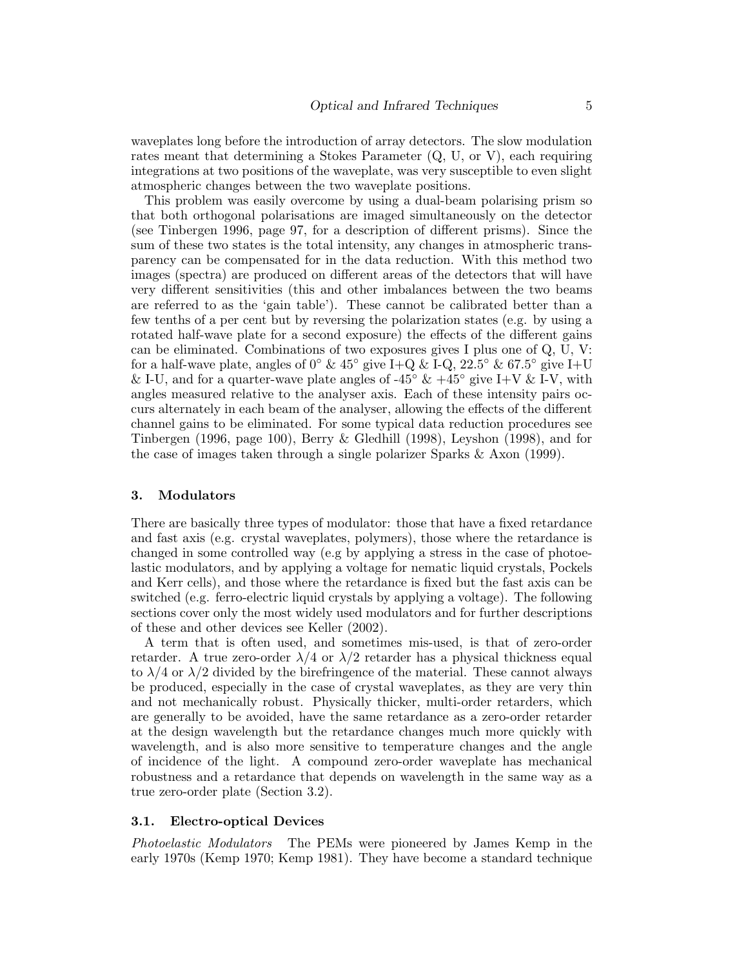waveplates long before the introduction of array detectors. The slow modulation rates meant that determining a Stokes Parameter (Q, U, or V), each requiring integrations at two positions of the waveplate, was very susceptible to even slight atmospheric changes between the two waveplate positions.

This problem was easily overcome by using a dual-beam polarising prism so that both orthogonal polarisations are imaged simultaneously on the detector (see Tinbergen 1996, page 97, for a description of different prisms). Since the sum of these two states is the total intensity, any changes in atmospheric transparency can be compensated for in the data reduction. With this method two images (spectra) are produced on different areas of the detectors that will have very different sensitivities (this and other imbalances between the two beams are referred to as the 'gain table'). These cannot be calibrated better than a few tenths of a per cent but by reversing the polarization states (e.g. by using a rotated half-wave plate for a second exposure) the effects of the different gains can be eliminated. Combinations of two exposures gives I plus one of Q, U, V: for a half-wave plate, angles of  $0^{\circ}$  &  $45^{\circ}$  give I+Q & I-Q,  $22.5^{\circ}$  &  $67.5^{\circ}$  give I+U & I-U, and for a quarter-wave plate angles of -45°  $\&$  +45° give I+V  $\&$  I-V, with angles measured relative to the analyser axis. Each of these intensity pairs occurs alternately in each beam of the analyser, allowing the effects of the different channel gains to be eliminated. For some typical data reduction procedures see Tinbergen (1996, page 100), Berry & Gledhill (1998), Leyshon (1998), and for the case of images taken through a single polarizer Sparks & Axon (1999).

#### 3. Modulators

There are basically three types of modulator: those that have a fixed retardance and fast axis (e.g. crystal waveplates, polymers), those where the retardance is changed in some controlled way (e.g by applying a stress in the case of photoelastic modulators, and by applying a voltage for nematic liquid crystals, Pockels and Kerr cells), and those where the retardance is fixed but the fast axis can be switched (e.g. ferro-electric liquid crystals by applying a voltage). The following sections cover only the most widely used modulators and for further descriptions of these and other devices see Keller (2002).

A term that is often used, and sometimes mis-used, is that of zero-order retarder. A true zero-order  $\lambda/4$  or  $\lambda/2$  retarder has a physical thickness equal to  $\lambda/4$  or  $\lambda/2$  divided by the birefringence of the material. These cannot always be produced, especially in the case of crystal waveplates, as they are very thin and not mechanically robust. Physically thicker, multi-order retarders, which are generally to be avoided, have the same retardance as a zero-order retarder at the design wavelength but the retardance changes much more quickly with wavelength, and is also more sensitive to temperature changes and the angle of incidence of the light. A compound zero-order waveplate has mechanical robustness and a retardance that depends on wavelength in the same way as a true zero-order plate (Section 3.2).

#### 3.1. Electro-optical Devices

Photoelastic Modulators The PEMs were pioneered by James Kemp in the early 1970s (Kemp 1970; Kemp 1981). They have become a standard technique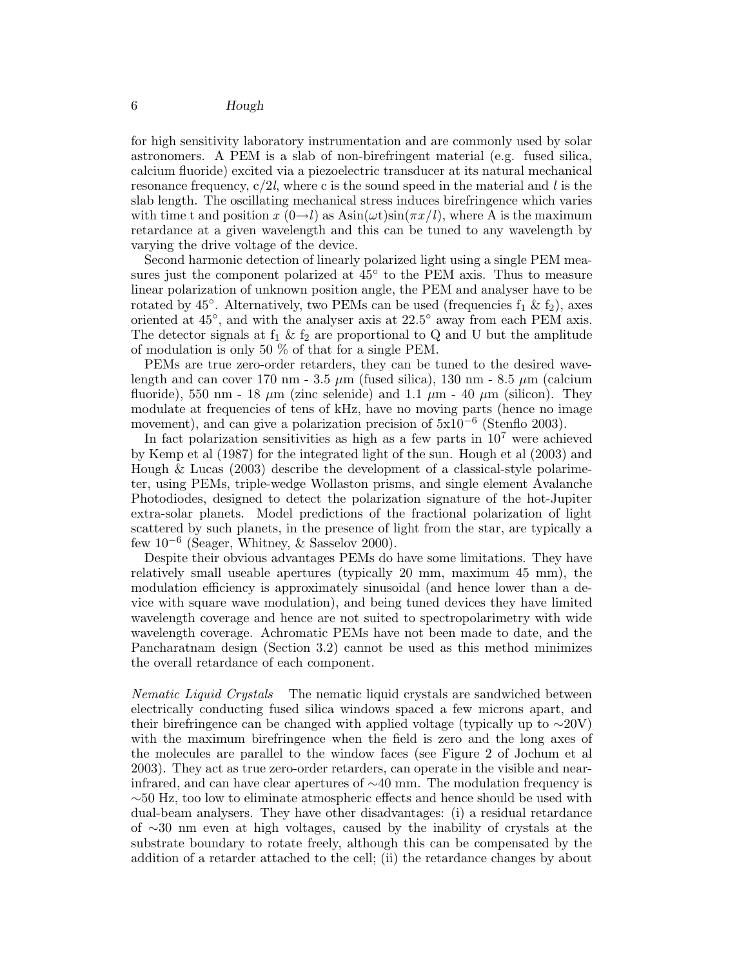for high sensitivity laboratory instrumentation and are commonly used by solar astronomers. A PEM is a slab of non-birefringent material (e.g. fused silica, calcium fluoride) excited via a piezoelectric transducer at its natural mechanical resonance frequency,  $c/2l$ , where c is the sound speed in the material and l is the slab length. The oscillating mechanical stress induces birefringence which varies with time t and position  $x(0\rightarrow l)$  as  $\text{Asin}(\omega t)\text{sin}(\pi x/l)$ , where A is the maximum retardance at a given wavelength and this can be tuned to any wavelength by varying the drive voltage of the device.

Second harmonic detection of linearly polarized light using a single PEM measures just the component polarized at  $45^{\circ}$  to the PEM axis. Thus to measure linear polarization of unknown position angle, the PEM and analyser have to be rotated by 45<sup>°</sup>. Alternatively, two PEMs can be used (frequencies  $f_1 \& f_2$ ), axes oriented at 45◦ , and with the analyser axis at 22.5◦ away from each PEM axis. The detector signals at  $f_1 \& f_2$  are proportional to Q and U but the amplitude of modulation is only 50 % of that for a single PEM.

PEMs are true zero-order retarders, they can be tuned to the desired wavelength and can cover 170 nm - 3.5  $\mu$ m (fused silica), 130 nm - 8.5  $\mu$ m (calcium fluoride), 550 nm - 18  $\mu$ m (zinc selenide) and 1.1  $\mu$ m - 40  $\mu$ m (silicon). They modulate at frequencies of tens of kHz, have no moving parts (hence no image movement), and can give a polarization precision of  $5x10^{-6}$  (Stenflo 2003).

In fact polarization sensitivities as high as a few parts in  $10<sup>7</sup>$  were achieved by Kemp et al (1987) for the integrated light of the sun. Hough et al (2003) and Hough & Lucas (2003) describe the development of a classical-style polarimeter, using PEMs, triple-wedge Wollaston prisms, and single element Avalanche Photodiodes, designed to detect the polarization signature of the hot-Jupiter extra-solar planets. Model predictions of the fractional polarization of light scattered by such planets, in the presence of light from the star, are typically a few  $10^{-6}$  (Seager, Whitney, & Sasselov 2000).

Despite their obvious advantages PEMs do have some limitations. They have relatively small useable apertures (typically 20 mm, maximum 45 mm), the modulation efficiency is approximately sinusoidal (and hence lower than a device with square wave modulation), and being tuned devices they have limited wavelength coverage and hence are not suited to spectropolarimetry with wide wavelength coverage. Achromatic PEMs have not been made to date, and the Pancharatnam design (Section 3.2) cannot be used as this method minimizes the overall retardance of each component.

Nematic Liquid Crystals The nematic liquid crystals are sandwiched between electrically conducting fused silica windows spaced a few microns apart, and their birefringence can be changed with applied voltage (typically up to ∼20V) with the maximum birefringence when the field is zero and the long axes of the molecules are parallel to the window faces (see Figure 2 of Jochum et al 2003). They act as true zero-order retarders, can operate in the visible and nearinfrared, and can have clear apertures of ∼40 mm. The modulation frequency is ∼50 Hz, too low to eliminate atmospheric effects and hence should be used with dual-beam analysers. They have other disadvantages: (i) a residual retardance of ∼30 nm even at high voltages, caused by the inability of crystals at the substrate boundary to rotate freely, although this can be compensated by the addition of a retarder attached to the cell; (ii) the retardance changes by about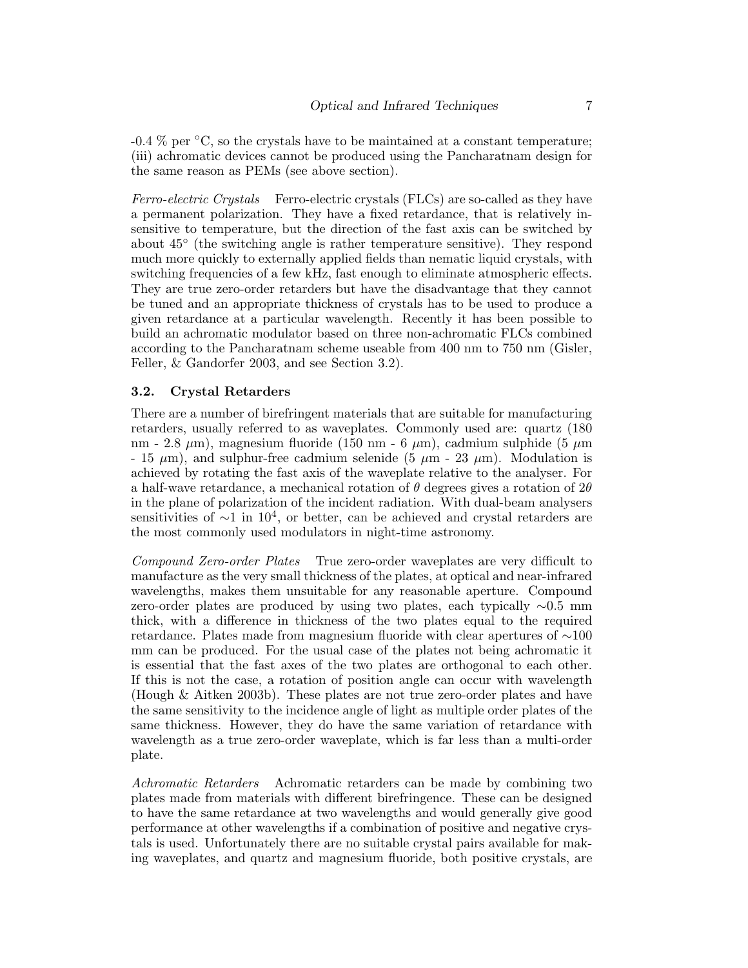$-0.4\%$  per  $°C$ , so the crystals have to be maintained at a constant temperature; (iii) achromatic devices cannot be produced using the Pancharatnam design for the same reason as PEMs (see above section).

Ferro-electric Crystals Ferro-electric crystals (FLCs) are so-called as they have a permanent polarization. They have a fixed retardance, that is relatively insensitive to temperature, but the direction of the fast axis can be switched by about 45◦ (the switching angle is rather temperature sensitive). They respond much more quickly to externally applied fields than nematic liquid crystals, with switching frequencies of a few kHz, fast enough to eliminate atmospheric effects. They are true zero-order retarders but have the disadvantage that they cannot be tuned and an appropriate thickness of crystals has to be used to produce a given retardance at a particular wavelength. Recently it has been possible to build an achromatic modulator based on three non-achromatic FLCs combined according to the Pancharatnam scheme useable from 400 nm to 750 nm (Gisler, Feller, & Gandorfer 2003, and see Section 3.2).

#### 3.2. Crystal Retarders

There are a number of birefringent materials that are suitable for manufacturing retarders, usually referred to as waveplates. Commonly used are: quartz (180 nm - 2.8  $\mu$ m), magnesium fluoride (150 nm - 6  $\mu$ m), cadmium sulphide (5  $\mu$ m - 15  $\mu$ m), and sulphur-free cadmium selenide (5  $\mu$ m - 23  $\mu$ m). Modulation is achieved by rotating the fast axis of the waveplate relative to the analyser. For a half-wave retardance, a mechanical rotation of  $\theta$  degrees gives a rotation of  $2\theta$ in the plane of polarization of the incident radiation. With dual-beam analysers sensitivities of  $\sim$ 1 in 10<sup>4</sup>, or better, can be achieved and crystal retarders are the most commonly used modulators in night-time astronomy.

Compound Zero-order Plates True zero-order waveplates are very difficult to manufacture as the very small thickness of the plates, at optical and near-infrared wavelengths, makes them unsuitable for any reasonable aperture. Compound zero-order plates are produced by using two plates, each typically ∼0.5 mm thick, with a difference in thickness of the two plates equal to the required retardance. Plates made from magnesium fluoride with clear apertures of ∼100 mm can be produced. For the usual case of the plates not being achromatic it is essential that the fast axes of the two plates are orthogonal to each other. If this is not the case, a rotation of position angle can occur with wavelength (Hough & Aitken 2003b). These plates are not true zero-order plates and have the same sensitivity to the incidence angle of light as multiple order plates of the same thickness. However, they do have the same variation of retardance with wavelength as a true zero-order waveplate, which is far less than a multi-order plate.

Achromatic Retarders Achromatic retarders can be made by combining two plates made from materials with different birefringence. These can be designed to have the same retardance at two wavelengths and would generally give good performance at other wavelengths if a combination of positive and negative crystals is used. Unfortunately there are no suitable crystal pairs available for making waveplates, and quartz and magnesium fluoride, both positive crystals, are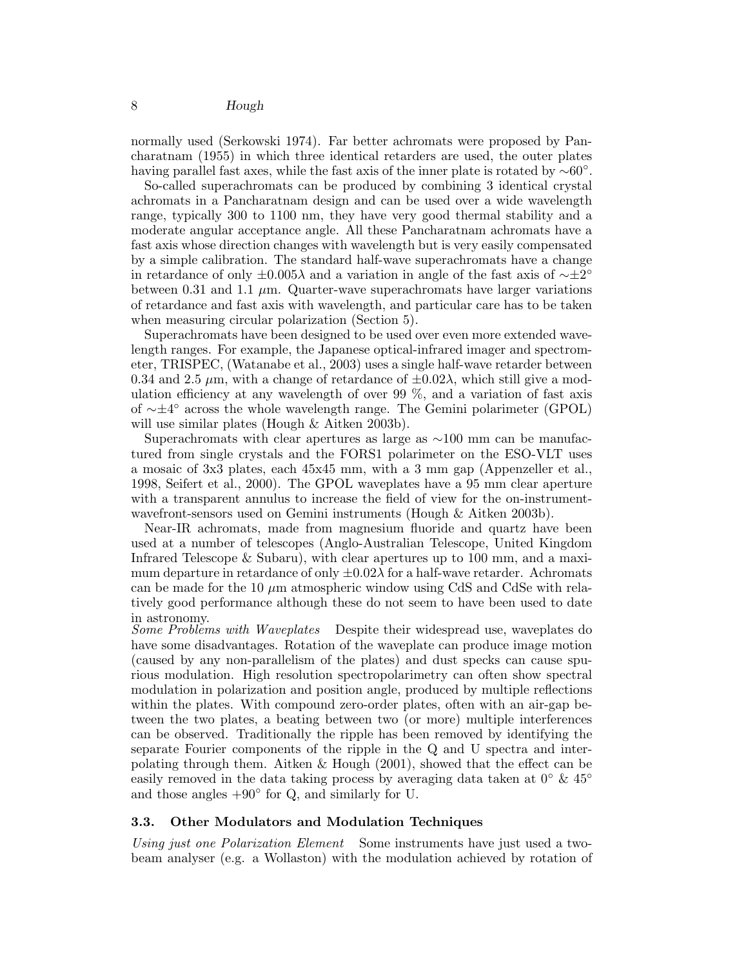normally used (Serkowski 1974). Far better achromats were proposed by Pancharatnam (1955) in which three identical retarders are used, the outer plates having parallel fast axes, while the fast axis of the inner plate is rotated by  $\sim 60^{\circ}$ .

So-called superachromats can be produced by combining 3 identical crystal achromats in a Pancharatnam design and can be used over a wide wavelength range, typically 300 to 1100 nm, they have very good thermal stability and a moderate angular acceptance angle. All these Pancharatnam achromats have a fast axis whose direction changes with wavelength but is very easily compensated by a simple calibration. The standard half-wave superachromats have a change in retardance of only  $\pm 0.005\lambda$  and a variation in angle of the fast axis of  $\sim \pm 2^{\circ}$ between 0.31 and 1.1  $\mu$ m. Quarter-wave superachromats have larger variations of retardance and fast axis with wavelength, and particular care has to be taken when measuring circular polarization (Section 5).

Superachromats have been designed to be used over even more extended wavelength ranges. For example, the Japanese optical-infrared imager and spectrometer, TRISPEC, (Watanabe et al., 2003) uses a single half-wave retarder between 0.34 and 2.5  $\mu$ m, with a change of retardance of  $\pm$ 0.02 $\lambda$ , which still give a modulation efficiency at any wavelength of over 99 %, and a variation of fast axis of ∼±4 ◦ across the whole wavelength range. The Gemini polarimeter (GPOL) will use similar plates (Hough & Aitken 2003b).

Superachromats with clear apertures as large as ∼100 mm can be manufactured from single crystals and the FORS1 polarimeter on the ESO-VLT uses a mosaic of 3x3 plates, each 45x45 mm, with a 3 mm gap (Appenzeller et al., 1998, Seifert et al., 2000). The GPOL waveplates have a 95 mm clear aperture with a transparent annulus to increase the field of view for the on-instrumentwavefront-sensors used on Gemini instruments (Hough & Aitken 2003b).

Near-IR achromats, made from magnesium fluoride and quartz have been used at a number of telescopes (Anglo-Australian Telescope, United Kingdom Infrared Telescope & Subaru), with clear apertures up to 100 mm, and a maximum departure in retardance of only  $\pm 0.02\lambda$  for a half-wave retarder. Achromats can be made for the 10  $\mu$ m atmospheric window using CdS and CdSe with relatively good performance although these do not seem to have been used to date in astronomy.

Some Problems with Waveplates Despite their widespread use, waveplates do have some disadvantages. Rotation of the waveplate can produce image motion (caused by any non-parallelism of the plates) and dust specks can cause spurious modulation. High resolution spectropolarimetry can often show spectral modulation in polarization and position angle, produced by multiple reflections within the plates. With compound zero-order plates, often with an air-gap between the two plates, a beating between two (or more) multiple interferences can be observed. Traditionally the ripple has been removed by identifying the separate Fourier components of the ripple in the Q and U spectra and interpolating through them. Aitken & Hough (2001), showed that the effect can be easily removed in the data taking process by averaging data taken at  $0^{\circ} \& 45^{\circ}$ and those angles  $+90°$  for Q, and similarly for U.

#### 3.3. Other Modulators and Modulation Techniques

Using just one Polarization Element Some instruments have just used a twobeam analyser (e.g. a Wollaston) with the modulation achieved by rotation of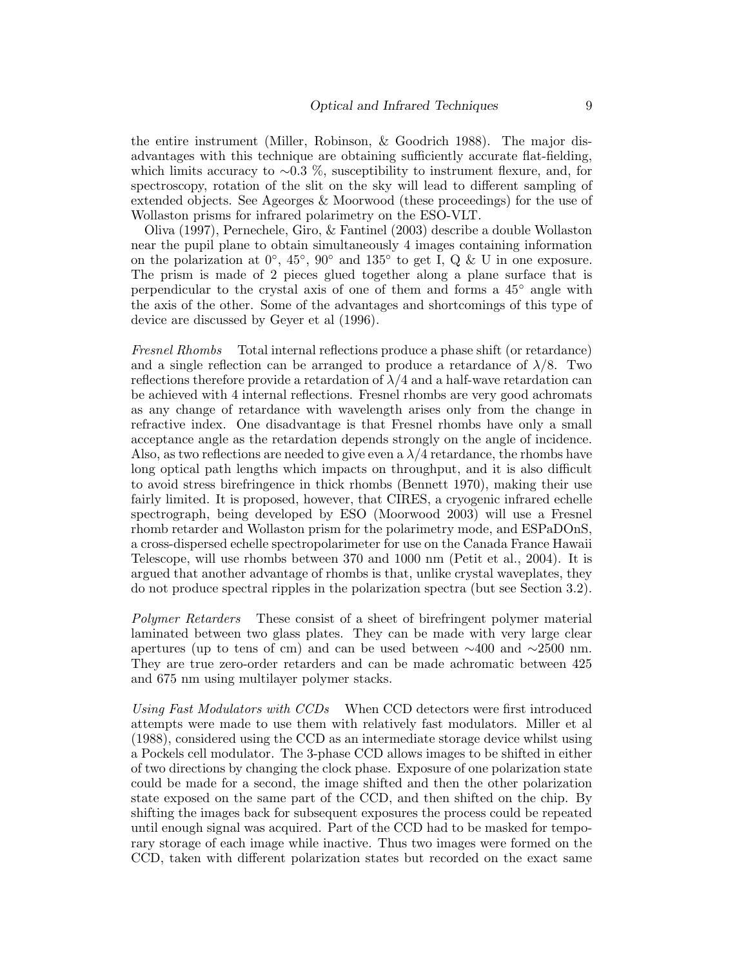the entire instrument (Miller, Robinson, & Goodrich 1988). The major disadvantages with this technique are obtaining sufficiently accurate flat-fielding, which limits accuracy to ∼0.3 %, susceptibility to instrument flexure, and, for spectroscopy, rotation of the slit on the sky will lead to different sampling of extended objects. See Ageorges & Moorwood (these proceedings) for the use of Wollaston prisms for infrared polarimetry on the ESO-VLT.

Oliva (1997), Pernechele, Giro, & Fantinel (2003) describe a double Wollaston near the pupil plane to obtain simultaneously 4 images containing information on the polarization at  $0^{\circ}$ ,  $45^{\circ}$ ,  $90^{\circ}$  and  $135^{\circ}$  to get I, Q & U in one exposure. The prism is made of 2 pieces glued together along a plane surface that is perpendicular to the crystal axis of one of them and forms a 45◦ angle with the axis of the other. Some of the advantages and shortcomings of this type of device are discussed by Geyer et al (1996).

Fresnel Rhombs Total internal reflections produce a phase shift (or retardance) and a single reflection can be arranged to produce a retardance of  $\lambda/8$ . Two reflections therefore provide a retardation of  $\lambda/4$  and a half-wave retardation can be achieved with 4 internal reflections. Fresnel rhombs are very good achromats as any change of retardance with wavelength arises only from the change in refractive index. One disadvantage is that Fresnel rhombs have only a small acceptance angle as the retardation depends strongly on the angle of incidence. Also, as two reflections are needed to give even a  $\lambda/4$  retardance, the rhombs have long optical path lengths which impacts on throughput, and it is also difficult to avoid stress birefringence in thick rhombs (Bennett 1970), making their use fairly limited. It is proposed, however, that CIRES, a cryogenic infrared echelle spectrograph, being developed by ESO (Moorwood 2003) will use a Fresnel rhomb retarder and Wollaston prism for the polarimetry mode, and ESPaDOnS, a cross-dispersed echelle spectropolarimeter for use on the Canada France Hawaii Telescope, will use rhombs between 370 and 1000 nm (Petit et al., 2004). It is argued that another advantage of rhombs is that, unlike crystal waveplates, they do not produce spectral ripples in the polarization spectra (but see Section 3.2).

Polymer Retarders These consist of a sheet of birefringent polymer material laminated between two glass plates. They can be made with very large clear apertures (up to tens of cm) and can be used between  $\sim$ 400 and  $\sim$ 2500 nm. They are true zero-order retarders and can be made achromatic between 425 and 675 nm using multilayer polymer stacks.

Using Fast Modulators with CCDs When CCD detectors were first introduced attempts were made to use them with relatively fast modulators. Miller et al (1988), considered using the CCD as an intermediate storage device whilst using a Pockels cell modulator. The 3-phase CCD allows images to be shifted in either of two directions by changing the clock phase. Exposure of one polarization state could be made for a second, the image shifted and then the other polarization state exposed on the same part of the CCD, and then shifted on the chip. By shifting the images back for subsequent exposures the process could be repeated until enough signal was acquired. Part of the CCD had to be masked for temporary storage of each image while inactive. Thus two images were formed on the CCD, taken with different polarization states but recorded on the exact same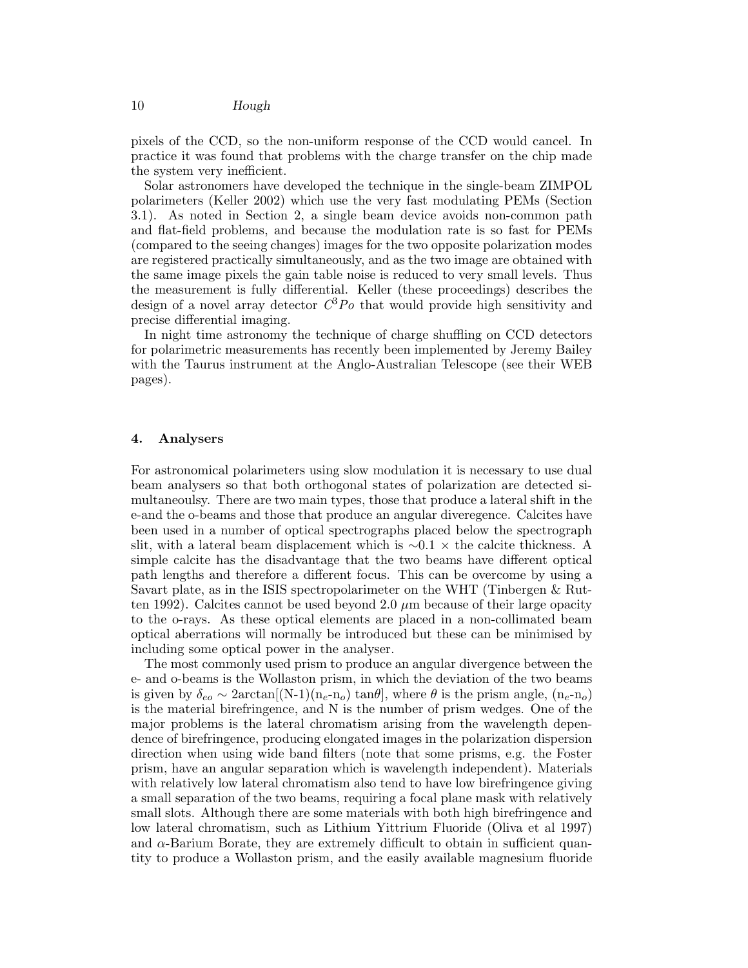pixels of the CCD, so the non-uniform response of the CCD would cancel. In practice it was found that problems with the charge transfer on the chip made the system very inefficient.

Solar astronomers have developed the technique in the single-beam ZIMPOL polarimeters (Keller 2002) which use the very fast modulating PEMs (Section 3.1). As noted in Section 2, a single beam device avoids non-common path and flat-field problems, and because the modulation rate is so fast for PEMs (compared to the seeing changes) images for the two opposite polarization modes are registered practically simultaneously, and as the two image are obtained with the same image pixels the gain table noise is reduced to very small levels. Thus the measurement is fully differential. Keller (these proceedings) describes the design of a novel array detector  $C^3Po$  that would provide high sensitivity and precise differential imaging.

In night time astronomy the technique of charge shuffling on CCD detectors for polarimetric measurements has recently been implemented by Jeremy Bailey with the Taurus instrument at the Anglo-Australian Telescope (see their WEB pages).

#### 4. Analysers

For astronomical polarimeters using slow modulation it is necessary to use dual beam analysers so that both orthogonal states of polarization are detected simultaneoulsy. There are two main types, those that produce a lateral shift in the e-and the o-beams and those that produce an angular diveregence. Calcites have been used in a number of optical spectrographs placed below the spectrograph slit, with a lateral beam displacement which is  $\sim 0.1 \times$  the calcite thickness. A simple calcite has the disadvantage that the two beams have different optical path lengths and therefore a different focus. This can be overcome by using a Savart plate, as in the ISIS spectropolarimeter on the WHT (Tinbergen & Rutten 1992). Calcites cannot be used beyond 2.0  $\mu$ m because of their large opacity to the o-rays. As these optical elements are placed in a non-collimated beam optical aberrations will normally be introduced but these can be minimised by including some optical power in the analyser.

The most commonly used prism to produce an angular divergence between the e- and o-beams is the Wollaston prism, in which the deviation of the two beams is given by  $\delta_{eo} \sim 2 \arctan[(N-1)(n_e-n_o) \tan\theta]$ , where  $\theta$  is the prism angle,  $(n_e-n_o)$ is the material birefringence, and N is the number of prism wedges. One of the major problems is the lateral chromatism arising from the wavelength dependence of birefringence, producing elongated images in the polarization dispersion direction when using wide band filters (note that some prisms, e.g. the Foster prism, have an angular separation which is wavelength independent). Materials with relatively low lateral chromatism also tend to have low birefringence giving a small separation of the two beams, requiring a focal plane mask with relatively small slots. Although there are some materials with both high birefringence and low lateral chromatism, such as Lithium Yittrium Fluoride (Oliva et al 1997) and  $\alpha$ -Barium Borate, they are extremely difficult to obtain in sufficient quantity to produce a Wollaston prism, and the easily available magnesium fluoride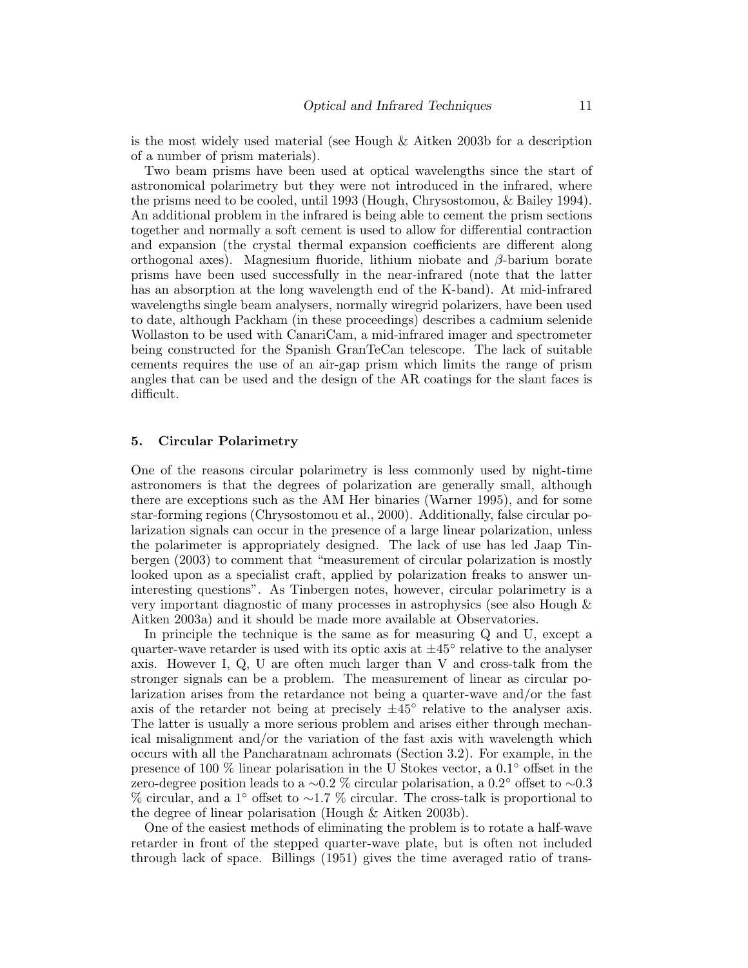is the most widely used material (see Hough & Aitken 2003b for a description of a number of prism materials).

Two beam prisms have been used at optical wavelengths since the start of astronomical polarimetry but they were not introduced in the infrared, where the prisms need to be cooled, until 1993 (Hough, Chrysostomou, & Bailey 1994). An additional problem in the infrared is being able to cement the prism sections together and normally a soft cement is used to allow for differential contraction and expansion (the crystal thermal expansion coefficients are different along orthogonal axes). Magnesium fluoride, lithium niobate and  $\beta$ -barium borate prisms have been used successfully in the near-infrared (note that the latter has an absorption at the long wavelength end of the K-band). At mid-infrared wavelengths single beam analysers, normally wiregrid polarizers, have been used to date, although Packham (in these proceedings) describes a cadmium selenide Wollaston to be used with CanariCam, a mid-infrared imager and spectrometer being constructed for the Spanish GranTeCan telescope. The lack of suitable cements requires the use of an air-gap prism which limits the range of prism angles that can be used and the design of the AR coatings for the slant faces is difficult.

#### 5. Circular Polarimetry

One of the reasons circular polarimetry is less commonly used by night-time astronomers is that the degrees of polarization are generally small, although there are exceptions such as the AM Her binaries (Warner 1995), and for some star-forming regions (Chrysostomou et al., 2000). Additionally, false circular polarization signals can occur in the presence of a large linear polarization, unless the polarimeter is appropriately designed. The lack of use has led Jaap Tinbergen (2003) to comment that "measurement of circular polarization is mostly looked upon as a specialist craft, applied by polarization freaks to answer uninteresting questions". As Tinbergen notes, however, circular polarimetry is a very important diagnostic of many processes in astrophysics (see also Hough & Aitken 2003a) and it should be made more available at Observatories.

In principle the technique is the same as for measuring Q and U, except a quarter-wave retarder is used with its optic axis at  $\pm 45^{\circ}$  relative to the analyser axis. However I, Q, U are often much larger than V and cross-talk from the stronger signals can be a problem. The measurement of linear as circular polarization arises from the retardance not being a quarter-wave and/or the fast axis of the retarder not being at precisely  $\pm 45^{\circ}$  relative to the analyser axis. The latter is usually a more serious problem and arises either through mechanical misalignment and/or the variation of the fast axis with wavelength which occurs with all the Pancharatnam achromats (Section 3.2). For example, in the presence of 100 % linear polarisation in the U Stokes vector, a  $0.1°$  offset in the zero-degree position leads to <sup>a</sup> <sup>∼</sup>0.2 % circular polarisation, <sup>a</sup> 0.2◦ offset to <sup>∼</sup>0.3 % circular, and a 1 ◦ offset to <sup>∼</sup>1.7 % circular. The cross-talk is proportional to the degree of linear polarisation (Hough & Aitken 2003b).

One of the easiest methods of eliminating the problem is to rotate a half-wave retarder in front of the stepped quarter-wave plate, but is often not included through lack of space. Billings (1951) gives the time averaged ratio of trans-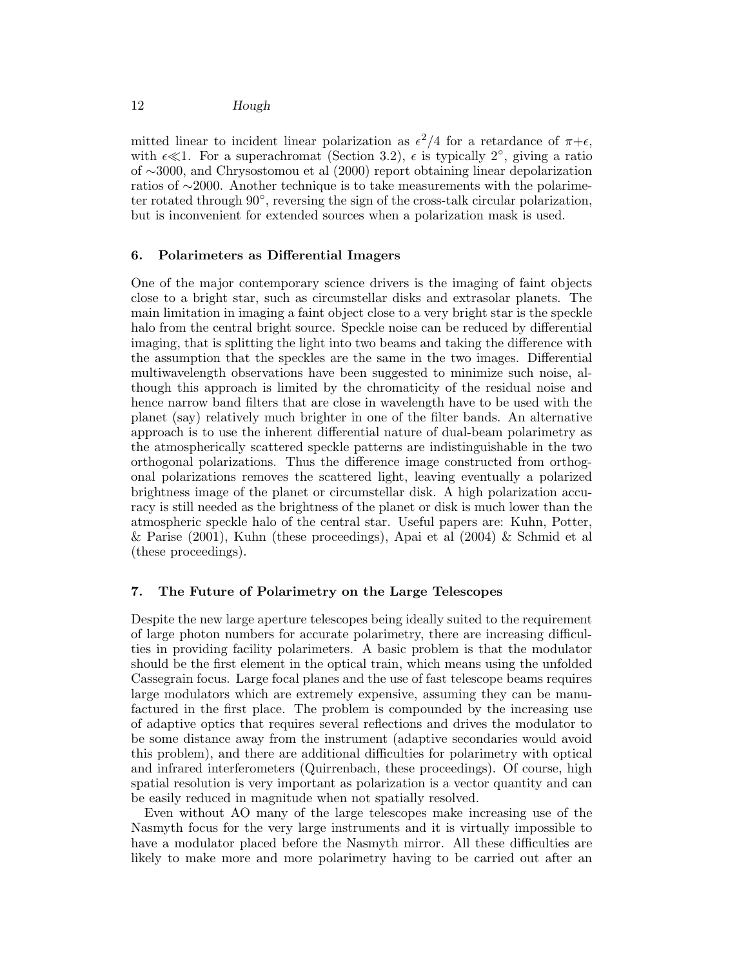mitted linear to incident linear polarization as  $\epsilon^2/4$  for a retardance of  $\pi+\epsilon$ , with  $\epsilon \ll 1$ . For a superachromat (Section 3.2),  $\epsilon$  is typically  $2^{\circ}$ , giving a ratio of ∼3000, and Chrysostomou et al (2000) report obtaining linear depolarization ratios of ∼2000. Another technique is to take measurements with the polarimeter rotated through  $90^{\circ}$ , reversing the sign of the cross-talk circular polarization, but is inconvenient for extended sources when a polarization mask is used.

## 6. Polarimeters as Differential Imagers

One of the major contemporary science drivers is the imaging of faint objects close to a bright star, such as circumstellar disks and extrasolar planets. The main limitation in imaging a faint object close to a very bright star is the speckle halo from the central bright source. Speckle noise can be reduced by differential imaging, that is splitting the light into two beams and taking the difference with the assumption that the speckles are the same in the two images. Differential multiwavelength observations have been suggested to minimize such noise, although this approach is limited by the chromaticity of the residual noise and hence narrow band filters that are close in wavelength have to be used with the planet (say) relatively much brighter in one of the filter bands. An alternative approach is to use the inherent differential nature of dual-beam polarimetry as the atmospherically scattered speckle patterns are indistinguishable in the two orthogonal polarizations. Thus the difference image constructed from orthogonal polarizations removes the scattered light, leaving eventually a polarized brightness image of the planet or circumstellar disk. A high polarization accuracy is still needed as the brightness of the planet or disk is much lower than the atmospheric speckle halo of the central star. Useful papers are: Kuhn, Potter, & Parise  $(2001)$ , Kuhn (these proceedings), Apai et al  $(2004)$  & Schmid et al (these proceedings).

# 7. The Future of Polarimetry on the Large Telescopes

Despite the new large aperture telescopes being ideally suited to the requirement of large photon numbers for accurate polarimetry, there are increasing difficulties in providing facility polarimeters. A basic problem is that the modulator should be the first element in the optical train, which means using the unfolded Cassegrain focus. Large focal planes and the use of fast telescope beams requires large modulators which are extremely expensive, assuming they can be manufactured in the first place. The problem is compounded by the increasing use of adaptive optics that requires several reflections and drives the modulator to be some distance away from the instrument (adaptive secondaries would avoid this problem), and there are additional difficulties for polarimetry with optical and infrared interferometers (Quirrenbach, these proceedings). Of course, high spatial resolution is very important as polarization is a vector quantity and can be easily reduced in magnitude when not spatially resolved.

Even without AO many of the large telescopes make increasing use of the Nasmyth focus for the very large instruments and it is virtually impossible to have a modulator placed before the Nasmyth mirror. All these difficulties are likely to make more and more polarimetry having to be carried out after an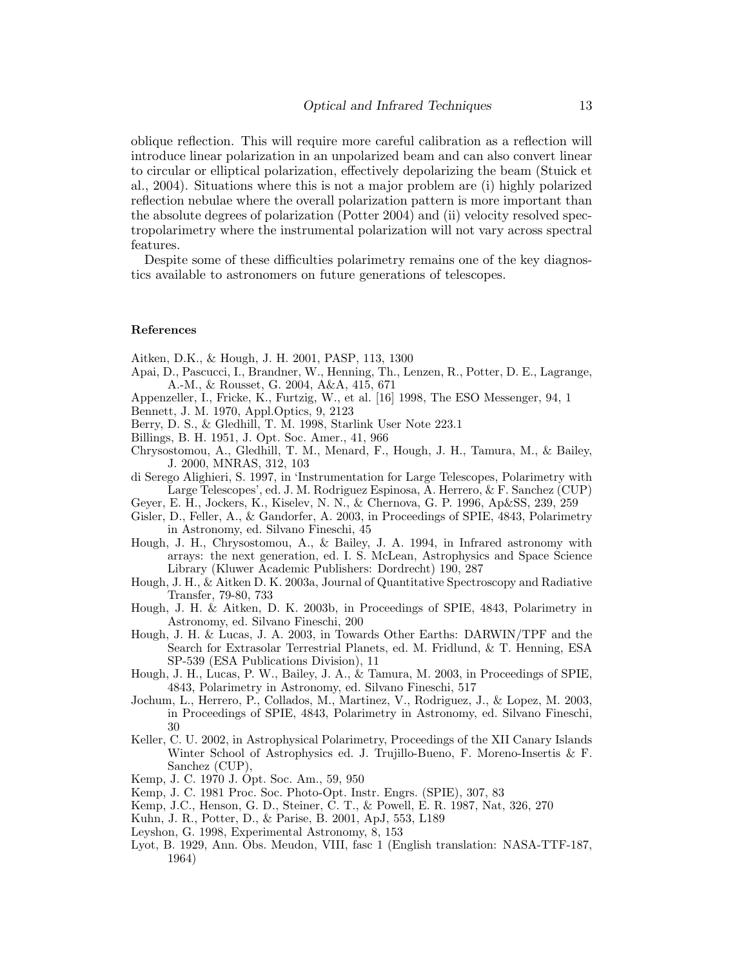oblique reflection. This will require more careful calibration as a reflection will introduce linear polarization in an unpolarized beam and can also convert linear to circular or elliptical polarization, effectively depolarizing the beam (Stuick et al., 2004). Situations where this is not a major problem are (i) highly polarized reflection nebulae where the overall polarization pattern is more important than the absolute degrees of polarization (Potter 2004) and (ii) velocity resolved spectropolarimetry where the instrumental polarization will not vary across spectral features.

Despite some of these difficulties polarimetry remains one of the key diagnostics available to astronomers on future generations of telescopes.

#### References

Aitken, D.K., & Hough, J. H. 2001, PASP, 113, 1300

- Apai, D., Pascucci, I., Brandner, W., Henning, Th., Lenzen, R., Potter, D. E., Lagrange, A.-M., & Rousset, G. 2004, A&A, 415, 671
- Appenzeller, I., Fricke, K., Furtzig, W., et al. [16] 1998, The ESO Messenger, 94, 1
- Bennett, J. M. 1970, Appl.Optics, 9, 2123
- Berry, D. S., & Gledhill, T. M. 1998, Starlink User Note 223.1
- Billings, B. H. 1951, J. Opt. Soc. Amer., 41, 966
- Chrysostomou, A., Gledhill, T. M., Menard, F., Hough, J. H., Tamura, M., & Bailey, J. 2000, MNRAS, 312, 103
- di Serego Alighieri, S. 1997, in 'Instrumentation for Large Telescopes, Polarimetry with Large Telescopes', ed. J. M. Rodriguez Espinosa, A. Herrero, & F. Sanchez (CUP)
- Geyer, E. H., Jockers, K., Kiselev, N. N., & Chernova, G. P. 1996, Ap&SS, 239, 259
- Gisler, D., Feller, A., & Gandorfer, A. 2003, in Proceedings of SPIE, 4843, Polarimetry in Astronomy, ed. Silvano Fineschi, 45
- Hough, J. H., Chrysostomou, A., & Bailey, J. A. 1994, in Infrared astronomy with arrays: the next generation, ed. I. S. McLean, Astrophysics and Space Science Library (Kluwer Academic Publishers: Dordrecht) 190, 287
- Hough, J. H., & Aitken D. K. 2003a, Journal of Quantitative Spectroscopy and Radiative Transfer, 79-80, 733
- Hough, J. H. & Aitken, D. K. 2003b, in Proceedings of SPIE, 4843, Polarimetry in Astronomy, ed. Silvano Fineschi, 200
- Hough, J. H. & Lucas, J. A. 2003, in Towards Other Earths: DARWIN/TPF and the Search for Extrasolar Terrestrial Planets, ed. M. Fridlund, & T. Henning, ESA SP-539 (ESA Publications Division), 11
- Hough, J. H., Lucas, P. W., Bailey, J. A., & Tamura, M. 2003, in Proceedings of SPIE, 4843, Polarimetry in Astronomy, ed. Silvano Fineschi, 517
- Jochum, L., Herrero, P., Collados, M., Martinez, V., Rodriguez, J., & Lopez, M. 2003, in Proceedings of SPIE, 4843, Polarimetry in Astronomy, ed. Silvano Fineschi, 30
- Keller, C. U. 2002, in Astrophysical Polarimetry, Proceedings of the XII Canary Islands Winter School of Astrophysics ed. J. Trujillo-Bueno, F. Moreno-Insertis & F. Sanchez (CUP),
- Kemp, J. C. 1970 J. Opt. Soc. Am., 59, 950
- Kemp, J. C. 1981 Proc. Soc. Photo-Opt. Instr. Engrs. (SPIE), 307, 83
- Kemp, J.C., Henson, G. D., Steiner, C. T., & Powell, E. R. 1987, Nat, 326, 270
- Kuhn, J. R., Potter, D., & Parise, B. 2001, ApJ, 553, L189
- Leyshon, G. 1998, Experimental Astronomy, 8, 153
- Lyot, B. 1929, Ann. Obs. Meudon, VIII, fasc 1 (English translation: NASA-TTF-187, 1964)